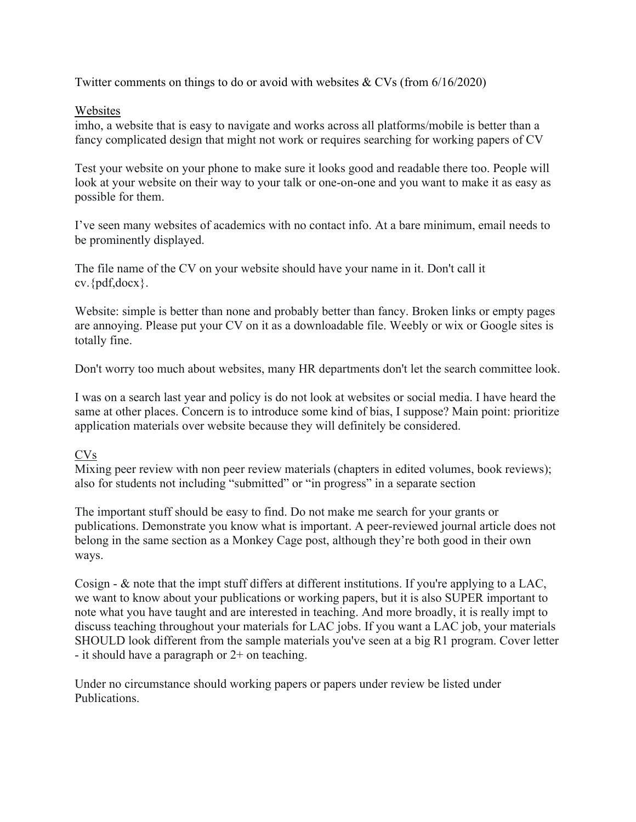Twitter comments on things to do or avoid with websites & CVs (from 6/16/2020)

## Websites

imho, a website that is easy to navigate and works across all platforms/mobile is better than a fancy complicated design that might not work or requires searching for working papers of CV

Test your website on your phone to make sure it looks good and readable there too. People will look at your website on their way to your talk or one-on-one and you want to make it as easy as possible for them.

I've seen many websites of academics with no contact info. At a bare minimum, email needs to be prominently displayed.

The file name of the CV on your website should have your name in it. Don't call it cv.{pdf,docx}.

Website: simple is better than none and probably better than fancy. Broken links or empty pages are annoying. Please put your CV on it as a downloadable file. Weebly or wix or Google sites is totally fine.

Don't worry too much about websites, many HR departments don't let the search committee look.

I was on a search last year and policy is do not look at websites or social media. I have heard the same at other places. Concern is to introduce some kind of bias, I suppose? Main point: prioritize application materials over website because they will definitely be considered.

## CVs

Mixing peer review with non peer review materials (chapters in edited volumes, book reviews); also for students not including "submitted" or "in progress" in a separate section

The important stuff should be easy to find. Do not make me search for your grants or publications. Demonstrate you know what is important. A peer-reviewed journal article does not belong in the same section as a Monkey Cage post, although they're both good in their own ways.

Cosign - & note that the impt stuff differs at different institutions. If you're applying to a LAC, we want to know about your publications or working papers, but it is also SUPER important to note what you have taught and are interested in teaching. And more broadly, it is really impt to discuss teaching throughout your materials for LAC jobs. If you want a LAC job, your materials SHOULD look different from the sample materials you've seen at a big R1 program. Cover letter - it should have a paragraph or 2+ on teaching.

Under no circumstance should working papers or papers under review be listed under Publications.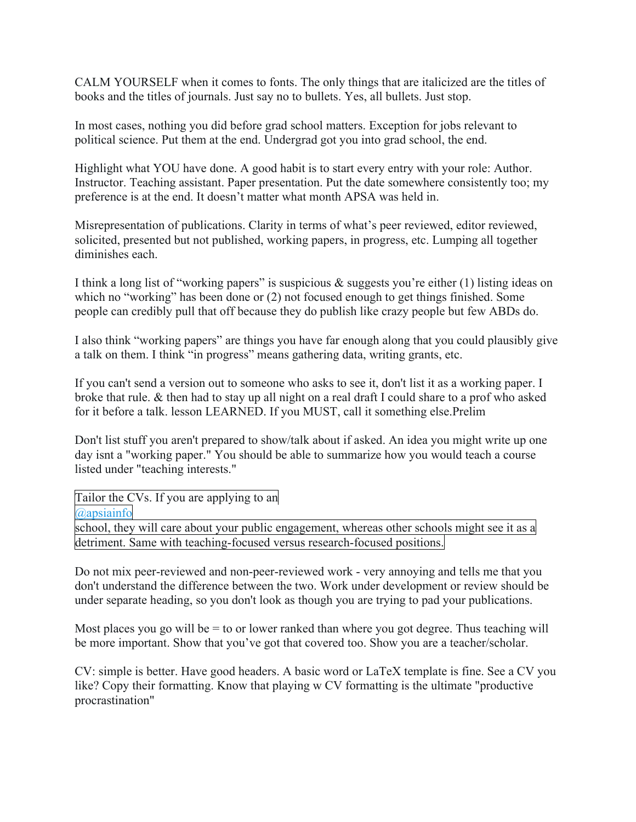CALM YOURSELF when it comes to fonts. The only things that are italicized are the titles of books and the titles of journals. Just say no to bullets. Yes, all bullets. Just stop.

In most cases, nothing you did before grad school matters. Exception for jobs relevant to political science. Put them at the end. Undergrad got you into grad school, the end.

Highlight what YOU have done. A good habit is to start every entry with your role: Author. Instructor. Teaching assistant. Paper presentation. Put the date somewhere consistently too; my preference is at the end. It doesn't matter what month APSA was held in.

Misrepresentation of publications. Clarity in terms of what's peer reviewed, editor reviewed, solicited, presented but not published, working papers, in progress, etc. Lumping all together diminishes each.

I think a long list of "working papers" is suspicious  $\&$  suggests you're either (1) listing ideas on which no "working" has been done or (2) not focused enough to get things finished. Some people can credibly pull that off because they do publish like crazy people but few ABDs do.

I also think "working papers" are things you have far enough along that you could plausibly give a talk on them. I think "in progress" means gathering data, writing grants, etc.

If you can't send a version out to someone who asks to see it, don't list it as a working paper. I broke that rule. & then had to stay up all night on a real draft I could share to a prof who asked for it before a talk. lesson LEARNED. If you MUST, call it something else.Prelim

Don't list stuff you aren't prepared to show/talk about if asked. An idea you might write up one day isnt a "working paper." You should be able to summarize how you would teach a course listed under "teaching interests."

Tailor the CVs. If you are applying to an

[@apsiainfo](https://twitter.com/apsiainfo)

school, they will care about your public engagement, whereas other schools might see it as a detriment. Same with teaching-focused versus research-focused positions.

Do not mix peer-reviewed and non-peer-reviewed work - very annoying and tells me that you don't understand the difference between the two. Work under development or review should be under separate heading, so you don't look as though you are trying to pad your publications.

Most places you go will be  $=$  to or lower ranked than where you got degree. Thus teaching will be more important. Show that you've got that covered too. Show you are a teacher/scholar.

CV: simple is better. Have good headers. A basic word or LaTeX template is fine. See a CV you like? Copy their formatting. Know that playing w CV formatting is the ultimate "productive procrastination"